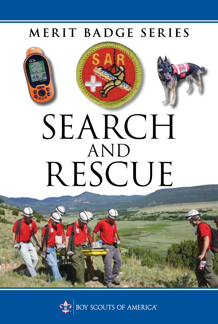### MERIT BADGE SERIES







# SEARCH AND RESCUE



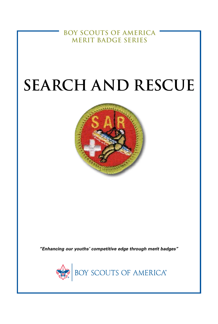**BOY SCOUTS OF AMERICA MERIT BADGE SERIES**

# **SEARCH AND RESCUE**



*"Enhancing our youths' competitive edge through merit badges"*

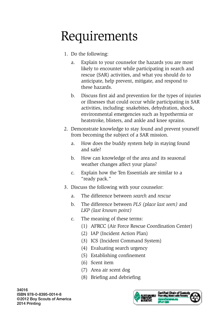# Requirements

- 1. Do the following:
	- a. Explain to your counselor the hazards you are most likely to encounter while participating in search and rescue (SAR) activities, and what you should do to anticipate, help prevent, mitigate, and respond to these hazards.
	- b. Discuss first aid and prevention for the types of injuries or illnesses that could occur while participating in SAR activities, including: snakebites, dehydration, shock, environmental emergencies such as hypothermia or heatstroke, blisters, and ankle and knee sprains.
- 2. Demonstrate knowledge to stay found and prevent yourself from becoming the subject of a SAR mission.
	- a. How does the buddy system help in staying found and safe?
	- b. How can knowledge of the area and its seasonal weather changes affect your plans?
	- c. Explain how the Ten Essentials are similar to a "ready pack."
- 3. Discuss the following with your counselor:
	- a. The difference between *search* and *rescue*
	- b. The difference between *PLS (place last seen)* and *LKP (last known point)*
	- c. The meaning of these terms:
		- (1) AFRCC (Air Force Rescue Coordination Center)
		- (2) IAP (Incident Action Plan)
		- (3) ICS (Incident Command System)
		- (4) Evaluating search urgency
		- (5) Establishing confinement
		- (6) Scent item
		- (7) Area air scent dog
		- (8) Briefing and debriefing

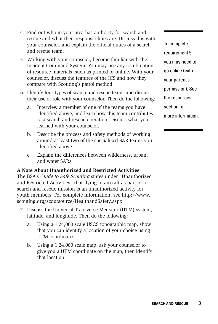- 4. Find out who in your area has authority for search and rescue and what their responsibilities are. Discuss this with your counselor, and explain the official duties of a search and rescue team.
- 5. Working with your counselor, become familiar with the Incident Command System. You may use any combination of resource materials, such as printed or online. With your counselor, discuss the features of the ICS and how they compare with Scouting's patrol method.
- 6. Identify four types of search and rescue teams and discuss their use or role with your counselor. Then do the following:
	- a. Interview a member of one of the teams you have identified above, and learn how this team contributes to a search and rescue operation. Discuss what you learned with your counselor.
	- b. Describe the process and safety methods of working around at least two of the specialized SAR teams you identified above.
	- c. Explain the differences between wilderness, urban, and water SARs.

#### **A Note About Unauthorized and Restricted Activities**

The BSA's *Guide to Safe Scouting* states under "Unauthorized and Restricted Activities" that flying in aircraft as part of a search and rescue mission is an unauthorized activity for youth members. For complete information, see http://www. scouting.org/scoutsource/HealthandSafety.aspx.

- 7. Discuss the Universal Transverse Mercator (UTM) system, latitude, and longitude. Then do the following:
	- a. Using a 1:24,000 scale USGS topographic map, show that you can identify a location of your choice using UTM coordinates.
	- b. Using a 1:24,000 scale map, ask your counselor to give you a UTM coordinate on the map, then identify that location.

To complete requirement 5. you may need to go online (with your parent's permission). See the resources section for more information.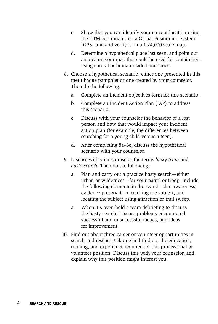- c. Show that you can identify your current location using the UTM coordinates on a Global Positioning System (GPS) unit and verify it on a 1:24,000 scale map.
- d. Determine a hypothetical place last seen, and point out an area on your map that could be used for containment using natural or human-made boundaries.
- 8. Choose a hypothetical scenario, either one presented in this merit badge pamphlet or one created by your counselor. Then do the following:
	- a. Complete an incident objectives form for this scenario.
	- b. Complete an Incident Action Plan (IAP) to address this scenario.
	- c. Discuss with your counselor the behavior of a lost person and how that would impact your incident action plan (for example, the differences between searching for a young child versus a teen).
	- d. After completing 8a–8c, discuss the hypothetical scenario with your counselor.
- 9. Discuss with your counselor the terms *hasty team* and *hasty search.* Then do the following:
	- a. Plan and carry out a practice hasty search—either urban or wilderness—for your patrol or troop. Include the following elements in the search: clue awareness, evidence preservation, tracking the subject, and locating the subject using attraction or trail sweep.
	- a. When it's over, hold a team debriefing to discuss the hasty search. Discuss problems encountered, successful and unsuccessful tactics, and ideas for improvement.
- 10. Find out about three career or volunteer opportunities in search and rescue. Pick one and find out the education, training, and experience required for this professional or volunteer position. Discuss this with your counselor, and explain why this position might interest you.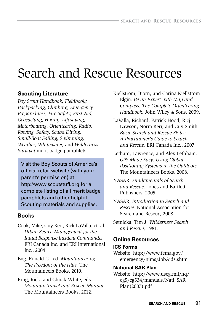## Search and Rescue Resources

#### **Scouting Literature**

*Boy Scout Handbook; Fieldbook; Backpacking, Climbing, Emergency Preparedness, Fire Safety, First Aid, Geocaching, Hiking, Lifesaving, Motorboating, Orienteering, Radio, Rowing, Safety, Scuba Diving, Small-Boat Sailing, Swimming, Weather, Whitewater,* and *Wilderness Survival* merit badge pamphlets

Visit the Boy Scouts of America's official retail website (with your parent's permission) at http://www.scoutstuff.org for a complete listing of all merit badge pamphlets and other helpful Scouting materials and supplies.

#### **Books**

- Cook, Mike, Guy Kerr, Rick LaValla, et. al. *Urban Search Management for the Initial Response Incident Commander.* ERI Canada Inc. and ERI International Inc., 2004.
- Eng, Ronald C., ed. *Mountaineering: The Freedom of the Hills.* The Mountaineers Books, 2010.
- King, Rick, and Chuck White, eds. *Mountain Travel and Rescue Manual.*  The Mountaineers Books, 2012.
- Kjellstrom, Bjorn, and Carina Kjellstrom Elgin. *Be an Expert with Map and Compass: The Complete Orienteering Handbook.* John Wiley & Sons, 2009.
- LaValla, Richard, Patrick Hood, Ricj Lawson, Norm Kerr, and Guy Smith. *Basic Search and Rescue Skills: A Practitioner's Guide to Search and Rescue.* ERI Canada Inc., 2007.
- Letham, Lawrence, and Alex Lethham. *GPS Made Easy: Using Global Positioning Systems in the Outdoors.* The Mountaineers Books, 2008.
- NASAR. *Fundamentals of Search and Rescue.* Jones and Bartlett Publishers, 2005.
- NASAR, *Introduction to Search and Rescue.* National Association for Search and Rescu*e,* 2008.
- Setnicka, Tim J. *Wilderness Search and Rescue,* 1981.

#### **Online Resources**

#### **ICS Forms**

Website: http://www.fema.gov/ emergency/nims/JobAids.shtm

#### **National SAR Plan**

Website: http://www.uscg.mil/hq/ cg5/cg534/manuals/Natl\_SAR\_ Plan(2007).pdf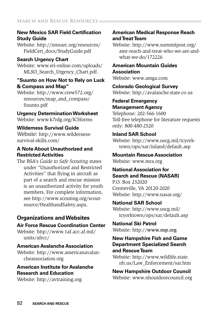#### **New Mexico SAR Field Certification Study Guide**

Website: http://nmsarc.org/resources/ FieldCert\_docs/StudyGuide.pdf

#### **Search Urgency Chart**

Website: www.eri-online.com/uploads/ MLSO Search Urgency Chart.pdf.

#### **"Suunto on How Not to Rely on Luck & Compass and Map"**

Website: http://www.crew572.org/ resources/map\_and\_compass/ Suunto.pdf

#### **Urgency Determination Worksheet**

Website: www.k7rdg.org/ICSforms

#### **Wilderness Survival Guide**

Website: http://www.wildernesssurvival-skills.com/

#### **A Note About Unauthorized and Restricted Activities**

The BSA's *Guide to Safe Scouting* states under "Unauthorized and Restricted Activities" that flying in aircraft as part of a search and rescue mission is an unauthorized activity for youth members. For complete information, see http://www.scouting.org/scoutsource/HealthandSafety.aspx.

#### **Organizations and Websites**

#### **Air Force Rescue Coordination Center**

Website: http://www.1af.acc.af.mil/ units/afrcc/

#### **American Avalanche Association**

Website: http://www.americanavalancheassociation.org

#### **American Institute for Avalanche Research and Education**

Website: http://avtraining.org

#### **American Medical Response Reach and Treat Team**

Website: http://www.summitpost.org/ amr-reach-and-treat-who-we-are-andwhat-we-do/172226

#### **American Mountain Guides Association**

Website: www.amga.com

**Colorado Geological Survey** Website: http://avalanche.state.co.us

#### **Federal Emergency Management Agency**

Telephone: 202-566-1600 Toll-free telephone for literature requests only: 800-480-2520

#### **Inland SAR School**

Website: http://www.uscg.mil/tcyorktown/ops/sar/inland/default.asp

**Mountain Rescue Association** Website: www.mra.org

#### **National Association for Search and Rescue (NASAR)**

P.O. Box 232020 Centreville, VA 20120-2020 Website: http://www.nasar.org/

#### **National SAR School**

Website: http://www.uscg.mil/ tcyorktown/ops/sar/default.asp

**National Ski Patrol** Website: http://www.nsp.org

#### **New Hampshire Fish and Game Department Specialized Search and Rescue Team**

Website: http://www.wildlife.state. nh.us/Law\_Enforcement/sar.htm

#### **New Hampshire Outdoor Council** Website: www.nhoutdoorcouncil.org